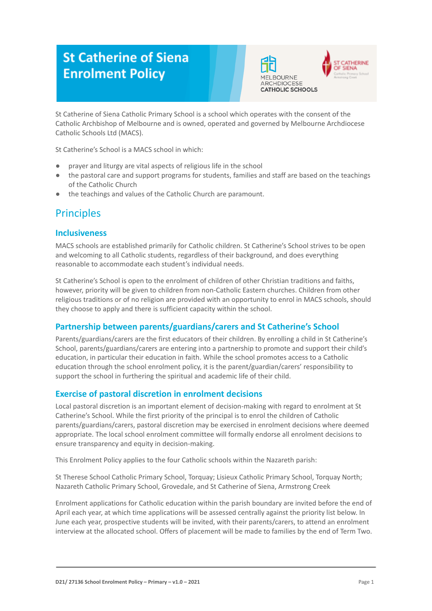# **St Catherine of Siena Enrolment Policy**





St Catherine of Siena Catholic Primary School is a school which operates with the consent of the Catholic Archbishop of Melbourne and is owned, operated and governed by Melbourne Archdiocese Catholic Schools Ltd (MACS).

St Catherine's School is a MACS school in which:

- prayer and liturgy are vital aspects of religious life in the school
- the pastoral care and support programs for students, families and staff are based on the teachings of the Catholic Church
- the teachings and values of the Catholic Church are paramount.

# **Principles**

### **Inclusiveness**

MACS schools are established primarily for Catholic children. St Catherine's School strives to be open and welcoming to all Catholic students, regardless of their background, and does everything reasonable to accommodate each student's individual needs.

St Catherine's School is open to the enrolment of children of other Christian traditions and faiths, however, priority will be given to children from non-Catholic Eastern churches. Children from other religious traditions or of no religion are provided with an opportunity to enrol in MACS schools, should they choose to apply and there is sufficient capacity within the school.

### **Partnership between parents/guardians/carers and St Catherine's School**

Parents/guardians/carers are the first educators of their children. By enrolling a child in St Catherine's School, parents/guardians/carers are entering into a partnership to promote and support their child's education, in particular their education in faith. While the school promotes access to a Catholic education through the school enrolment policy, it is the parent/guardian/carers' responsibility to support the school in furthering the spiritual and academic life of their child.

### **Exercise of pastoral discretion in enrolment decisions**

Local pastoral discretion is an important element of decision-making with regard to enrolment at St Catherine's School. While the first priority of the principal is to enrol the children of Catholic parents/guardians/carers, pastoral discretion may be exercised in enrolment decisions where deemed appropriate. The local school enrolment committee will formally endorse all enrolment decisions to ensure transparency and equity in decision-making.

This Enrolment Policy applies to the four Catholic schools within the Nazareth parish:

St Therese School Catholic Primary School, Torquay; Lisieux Catholic Primary School, Torquay North; Nazareth Catholic Primary School, Grovedale, and St Catherine of Siena, Armstrong Creek

Enrolment applications for Catholic education within the parish boundary are invited before the end of April each year, at which time applications will be assessed centrally against the priority list below. In June each year, prospective students will be invited, with their parents/carers, to attend an enrolment interview at the allocated school. Offers of placement will be made to families by the end of Term Two.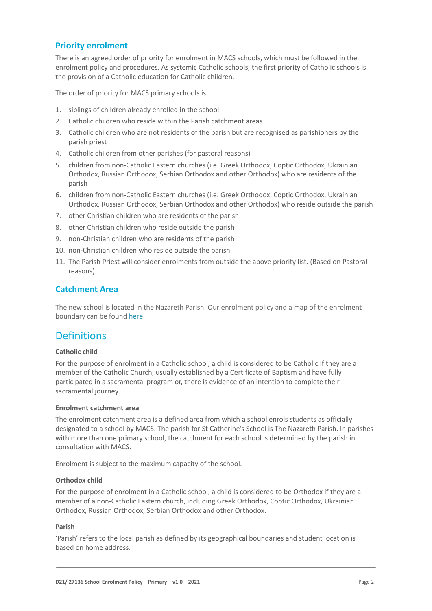### **Priority enrolment**

There is an agreed order of priority for enrolment in MACS schools, which must be followed in the enrolment policy and procedures. As systemic Catholic schools, the first priority of Catholic schools is the provision of a Catholic education for Catholic children.

The order of priority for MACS primary schools is:

- 1. siblings of children already enrolled in the school
- 2. Catholic children who reside within the Parish catchment areas
- 3. Catholic children who are not residents of the parish but are recognised as parishioners by the parish priest
- 4. Catholic children from other parishes (for pastoral reasons)
- 5. children from non-Catholic Eastern churches (i.e. Greek Orthodox, Coptic Orthodox, Ukrainian Orthodox, Russian Orthodox, Serbian Orthodox and other Orthodox) who are residents of the parish
- 6. children from non-Catholic Eastern churches (i.e. Greek Orthodox, Coptic Orthodox, Ukrainian Orthodox, Russian Orthodox, Serbian Orthodox and other Orthodox) who reside outside the parish
- 7. other Christian children who are residents of the parish
- 8. other Christian children who reside outside the parish
- 9. non-Christian children who are residents of the parish
- 10. non-Christian children who reside outside the parish.
- 11. The Parish Priest will consider enrolments from outside the above priority list. (Based on Pastoral reasons).

#### **Catchment Area**

The new school is located in the Nazareth Parish. Our enrolment policy and a map of the enrolment boundary can be found [here](https://stcatherine.catholic.edu.au/wp-content/uploads/2019/02/STC_Enrolment_Map.pdf).

## **Definitions**

#### **Catholic child**

For the purpose of enrolment in a Catholic school, a child is considered to be Catholic if they are a member of the Catholic Church, usually established by a Certificate of Baptism and have fully participated in a sacramental program or, there is evidence of an intention to complete their sacramental journey.

#### **Enrolment catchment area**

The enrolment catchment area is a defined area from which a school enrols students as officially designated to a school by MACS. The parish for St Catherine's School is The Nazareth Parish. In parishes with more than one primary school, the catchment for each school is determined by the parish in consultation with MACS.

Enrolment is subject to the maximum capacity of the school.

#### **Orthodox child**

For the purpose of enrolment in a Catholic school, a child is considered to be Orthodox if they are a member of a non-Catholic Eastern church, including Greek Orthodox, Coptic Orthodox, Ukrainian Orthodox, Russian Orthodox, Serbian Orthodox and other Orthodox.

#### **Parish**

'Parish' refers to the local parish as defined by its geographical boundaries and student location is based on home address.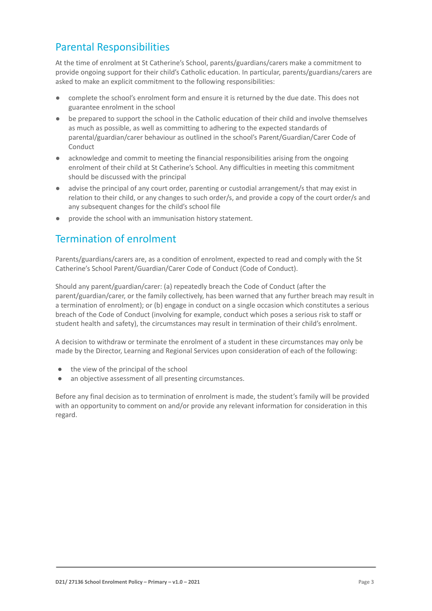# Parental Responsibilities

At the time of enrolment at St Catherine's School, parents/guardians/carers make a commitment to provide ongoing support for their child's Catholic education. In particular, parents/guardians/carers are asked to make an explicit commitment to the following responsibilities:

- complete the school's enrolment form and ensure it is returned by the due date. This does not guarantee enrolment in the school
- be prepared to support the school in the Catholic education of their child and involve themselves as much as possible, as well as committing to adhering to the expected standards of parental/guardian/carer behaviour as outlined in the school's Parent/Guardian/Carer Code of Conduct
- acknowledge and commit to meeting the financial responsibilities arising from the ongoing enrolment of their child at St Catherine's School. Any difficulties in meeting this commitment should be discussed with the principal
- advise the principal of any court order, parenting or custodial arrangement/s that may exist in relation to their child, or any changes to such order/s, and provide a copy of the court order/s and any subsequent changes for the child's school file
- provide the school with an immunisation history statement.

# Termination of enrolment

Parents/guardians/carers are, as a condition of enrolment, expected to read and comply with the St Catherine's School Parent/Guardian/Carer Code of Conduct (Code of Conduct).

Should any parent/guardian/carer: (a) repeatedly breach the Code of Conduct (after the parent/guardian/carer, or the family collectively, has been warned that any further breach may result in a termination of enrolment); or (b) engage in conduct on a single occasion which constitutes a serious breach of the Code of Conduct (involving for example, conduct which poses a serious risk to staff or student health and safety), the circumstances may result in termination of their child's enrolment.

A decision to withdraw or terminate the enrolment of a student in these circumstances may only be made by the Director, Learning and Regional Services upon consideration of each of the following:

- the view of the principal of the school
- an objective assessment of all presenting circumstances.

Before any final decision as to termination of enrolment is made, the student's family will be provided with an opportunity to comment on and/or provide any relevant information for consideration in this regard.